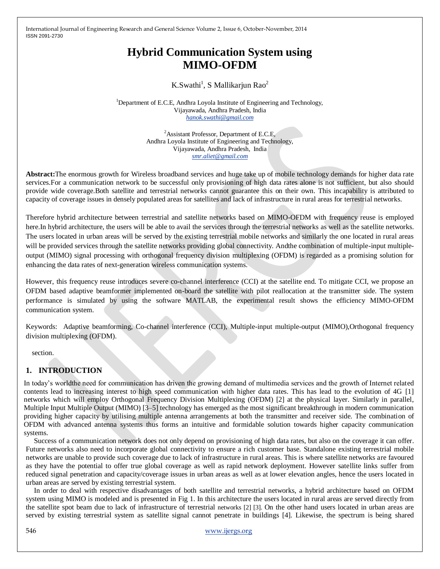# **Hybrid Communication System using MIMO-OFDM**

## K.Swathi<sup>1</sup>, S Mallikarjun Rao<sup>2</sup>

<sup>1</sup>Department of E.C.E, Andhra Loyola Institute of Engineering and Technology, Vijayawada, Andhra Pradesh, India *[hanok.swathi@gmail.com](mailto:hanok.swathi@gmail.com)*

> <sup>2</sup>Assistant Professor, Department of E.C.E, Andhra Loyola Institute of Engineering and Technology, Vijayawada, Andhra Pradesh, India *[smr.aliet@gmail.com](mailto:smr.aliet@gmail.com)*

**Abstract:**The enormous growth for Wireless broadband services and huge take up of mobile technology demands for higher data rate services.For a communication network to be successful only provisioning of high data rates alone is not sufficient, but also should provide wide coverage.Both satellite and terrestrial networks cannot guarantee this on their own. This incapability is attributed to capacity of coverage issues in densely populated areas for satellites and lack of infrastructure in rural areas for terrestrial networks.

Therefore hybrid architecture between terrestrial and satellite networks based on MIMO-OFDM with frequency reuse is employed here.In hybrid architecture, the users will be able to avail the services through the terrestrial networks as well as the satellite networks. The users located in urban areas will be served by the existing terrestrial mobile networks and similarly the one located in rural areas will be provided services through the satellite networks providing global connectivity. Andthe combination of multiple-input multipleoutput (MIMO) signal processing with orthogonal frequency division multiplexing (OFDM) is regarded as a promising solution for enhancing the data rates of next-generation wireless communication systems.

However, this frequency reuse introduces severe co-channel interference (CCI) at the satellite end. To mitigate CCI, we propose an OFDM based adaptive beamformer implemented on-board the satellite with pilot reallocation at the transmitter side. The system performance is simulated by using the software MATLAB, the experimental result shows the efficiency MIMO-OFDM communication system.

Keywords: Adaptive beamforming, Co-channel interference (CCI), Multiple-input multiple-output (MIMO),Orthogonal frequency division multiplexing (OFDM).

section.

### **1. INTRODUCTION**

In today's worldthe need for communication has driven the growing demand of multimedia services and the growth of Internet related contents lead to increasing interest to high speed communication with higher data rates. This has lead to the evolution of 4G [1] networks which will employ Orthogonal Frequency Division Multiplexing (OFDM) [2] at the physical layer. Similarly in parallel, Multiple Input Multiple Output (MIMO) [3–5] technology has emerged as the most significant breakthrough in modern communication providing higher capacity by utilising multiple antenna arrangements at both the transmitter and receiver side. The combination of OFDM with advanced antenna systems thus forms an intuitive and formidable solution towards higher capacity communication systems.

Success of a communication network does not only depend on provisioning of high data rates, but also on the coverage it can offer. Future networks also need to incorporate global connectivity to ensure a rich customer base. Standalone existing terrestrial mobile networks are unable to provide such coverage due to lack of infrastructure in rural areas. This is where satellite networks are favoured as they have the potential to offer true global coverage as well as rapid network deployment. However satellite links suffer from reduced signal penetration and capacity/coverage issues in urban areas as well as at lower elevation angles, hence the users located in urban areas are served by existing terrestrial system.

In order to deal with respective disadvantages of both satellite and terrestrial networks, a hybrid architecture based on OFDM system using MIMO is modeled and is presented in Fig 1. In this architecture the users located in rural areas are served directly from the satellite spot beam due to lack of infrastructure of terrestrial networks [2] [3]. On the other hand users located in urban areas are served by existing terrestrial system as satellite signal cannot penetrate in buildings [4]. Likewise, the spectrum is being shared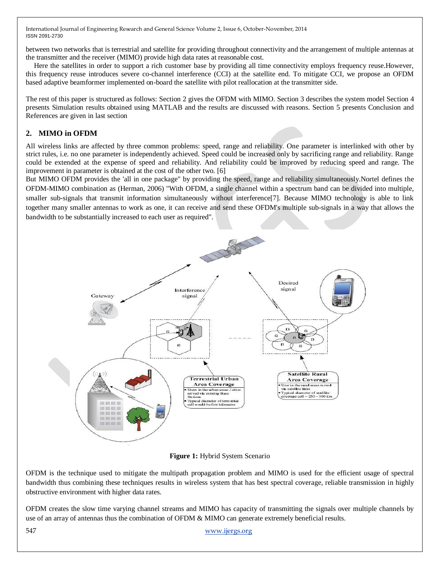between two networks that is terrestrial and satellite for providing throughout connectivity and the arrangement of multiple antennas at the transmitter and the receiver (MIMO) provide high data rates at reasonable cost.

Here the satellites in order to support a rich customer base by providing all time connectivity employs frequency reuse.However, this frequency reuse introduces severe co-channel interference (CCI) at the satellite end. To mitigate CCI, we propose an OFDM based adaptive beamformer implemented on-board the satellite with pilot reallocation at the transmitter side.

The rest of this paper is structured as follows: Section 2 gives the OFDM with MIMO. Section 3 describes the system model Section 4 presents Simulation results obtained using MATLAB and the results are discussed with reasons. Section 5 presents Conclusion and References are given in last section

# **2. MIMO in OFDM**

All wireless links are affected by three common problems: speed, range and reliability. One parameter is interlinked with other by strict rules, i.e. no one parameter is independently achieved. Speed could be increased only by sacrificing range and reliability. Range could be extended at the expense of speed and reliability. And reliability could be improved by reducing speed and range. The improvement in parameter is obtained at the cost of the other two. [6]

But MIMO OFDM provides the 'all in one package" by providing the speed, range and reliability simultaneously.Nortel defines the OFDM-MIMO combination as (Herman, 2006) "With OFDM, a single channel within a spectrum band can be divided into multiple, smaller sub-signals that transmit information simultaneously without interference[7]. Because MIMO technology is able to link together many smaller antennas to work as one, it can receive and send these OFDM's multiple sub-signals in a way that allows the bandwidth to be substantially increased to each user as required".



**Figure 1:** Hybrid System Scenario

OFDM is the technique used to mitigate the multipath propagation problem and MIMO is used for the efficient usage of spectral bandwidth thus combining these techniques results in wireless system that has best spectral coverage, reliable transmission in highly obstructive environment with higher data rates.

OFDM creates the slow time varying channel streams and MIMO has capacity of transmitting the signals over multiple channels by use of an array of antennas thus the combination of OFDM & MIMO can generate extremely beneficial results.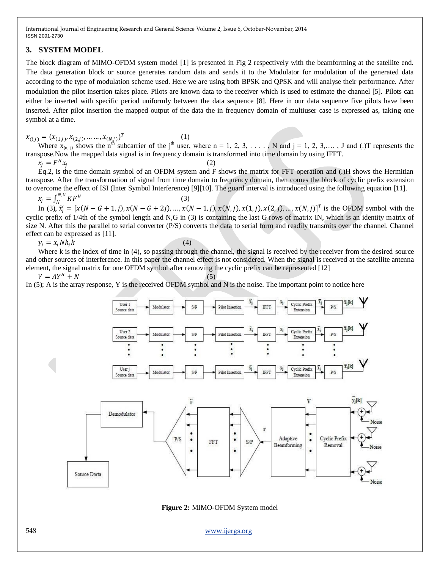### **3. SYSTEM MODEL**

The block diagram of MIMO-OFDM system model [1] is presented in Fig 2 respectively with the beamforming at the satellite end. The data generation block or source generates random data and sends it to the Modulator for modulation of the generated data according to the type of modulation scheme used. Here we are using both BPSK and QPSK and will analyse their performance. After modulation the pilot insertion takes place. Pilots are known data to the receiver which is used to estimate the channel [5]. Pilots can either be inserted with specific period uniformly between the data sequence [8]. Here in our data sequence five pilots have been inserted. After pilot insertion the mapped output of the data the in frequency domain of multiuser case is expressed as, taking one symbol at a time.

 $x_{(i,j)} = (x_{(1,j)}, x_{(2,j)}, \dots, x_{(N,j)})^T$ (1)

Where  $x_{(n, j)}$  shows the n<sup>th</sup> subcarrier of the j<sup>th</sup> user, where n = 1, 2, 3, . . . . , N and j = 1, 2, 3, ... . , J and (.)T represents the transpose.Now the mapped data signal is in frequency domain is transformed into time domain by using IFFT. (2)

$$
x_j = F^H x_j
$$

Eq.2, is the time domain symbol of an OFDM system and F shows the matrix for FFT operation and (.)H shows the Hermitian transpose. After the transformation of signal from time domain to frequency domain, then comes the block of cyclic prefix extension to overcome the effect of ISI (Inter Symbol Interference) [9][10]. The guard interval is introduced using the following equation [11].

$$
x_j = \int_N^{N,G} K F^H
$$

$$
(3)
$$

In (3),  $\tilde{x}_j = [x(N - G + 1, j), x(N - G + 2j), ..., x(N - 1, j), x(N, j), x(1, j), x(2, j), ..., x(N, j)]^T$  is the OFDM symbol with the cyclic prefix of 1/4th of the symbol length and N,G in (3) is containing the last G rows of matrix IN, which is an identity matrix of size N. After this the parallel to serial converter (P/S) converts the data to serial form and readily transmits over the channel. Channel effect can be expressed as [11].

 $y_i = x_i N h_i k$  (4)

Where k is the index of time in (4), so passing through the channel, the signal is received by the receiver from the desired source and other sources of interference. In this paper the channel effect is not considered. When the signal is received at the satellite antenna element, the signal matrix for one OFDM symbol after removing the cyclic prefix can be represented [12]

 $V = AY^H + N$  (5)

In (5); A is the array response, Y is the received OFDM symbol and N is the noise. The important point to notice here



**Figure 2:** MIMO-OFDM System model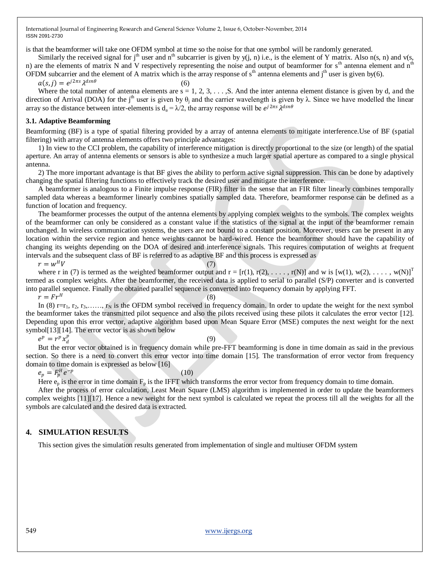is that the beamformer will take one OFDM symbol at time so the noise for that one symbol will be randomly generated.

 $(6)$ 

Similarly the received signal for j<sup>th</sup> user and n<sup>th</sup> subcarrier is given by y(j, n) i.e., is the element of Y matrix. Also n(s, n) and v(s, n) are the elements of matrix N and V respectively representing the noise and output of beamformer for  $s<sup>th</sup>$  antenna element and  $n<sup>th</sup>$ OFDM subcarrier and the element of A matrix which is the array response of  $s<sup>th</sup>$  antenna elements and j<sup>th</sup> user is given by(6).

$$
a(s,j) = e^{j2\pi s} \lambda^{dsn\theta}
$$

Where the total number of antenna elements are  $s = 1, 2, 3, \ldots$ , S. And the inter antenna element distance is given by d, and the direction of Arrival (DOA) for the j<sup>th</sup> user is given by  $\theta_i$  and the carrier wavelength is given by  $\lambda$ . Since we have modelled the linear array so the distance between inter-elements is  $d_a = \lambda/2$ , the array response will be  $e^{j2\pi s} \lambda^{dsn\theta}$ 

### **3.1. Adaptive Beamforming**

Beamforming (BF) is a type of spatial filtering provided by a array of antenna elements to mitigate interference.Use of BF (spatial filtering) with array of antenna elements offers two principle advantages:

1) In view to the CCI problem, the capability of interference mitigation is directly proportional to the size (or length) of the spatial aperture. An array of antenna elements or sensors is able to synthesize a much larger spatial aperture as compared to a single physical antenna.

2) The more important advantage is that BF gives the ability to perform active signal suppression. This can be done by adaptively changing the spatial filtering functions to effectively track the desired user and mitigate the interference.

A beamformer is analogous to a Finite impulse response (FIR) filter in the sense that an FIR filter linearly combines temporally sampled data whereas a beamformer linearly combines spatially sampled data. Therefore, beamformer response can be defined as a function of location and frequency.

The beamformer processes the output of the antenna elements by applying complex weights to the symbols. The complex weights of the beamformer can only be considered as a constant value if the statistics of the signal at the input of the beamformer remain unchanged. In wireless communication systems, the users are not bound to a constant position. Moreover, users can be present in any location within the service region and hence weights cannot be hard-wired. Hence the beamformer should have the capability of changing its weights depending on the DOA of desired and interference signals. This requires computation of weights at frequent intervals and the subsequent class of BF is referred to as adaptive BF and this process is expressed as

$$
r = w^H V \tag{7}
$$

where r in (7) is termed as the weighted beamformer output and  $r = [r(1), r(2), \ldots, r(N)]$  and w is  $[w(1), w(2), \ldots, w(N)]^T$ termed as complex weights. After the beamformer, the received data is applied to serial to parallel (S/P) converter and is converted into parallel sequence. Finally the obtained parallel sequence is converted into frequency domain by applying FFT.  $H$  (8)

 $r = Fr^H$ 

In (8) r=r<sub>1</sub>, r<sub>2</sub>, r<sub>3</sub>,…, r<sub>N</sub> is the OFDM symbol received in frequency domain. In order to update the weight for the next symbol the beamformer takes the transmitted pilot sequence and also the pilots received using these pilots it calculates the error vector [12]. Depending upon this error vector, adaptive algorithm based upon Mean Square Error (MSE) computes the next weight for the next symbol<sup>[13]</sup>[14]. The error vector is as shown below

 $e^p = r^p x_d^p$ 

### (9)

But the error vector obtained is in frequency domain while pre-FFT beamforming is done in time domain as said in the previous section. So there is a need to convert this error vector into time domain [15]. The transformation of error vector from frequency domain to time domain is expressed as below [16]

$$
e_p = F_p^H e^{-p}
$$

$$
(10)
$$

Here  $e_p$  is the error in time domain  $F_p$  is the IFFT which transforms the error vector from frequency domain to time domain.

After the process of error calculation, Least Mean Square (LMS) algorithm is implemented in order to update the beamformers complex weights [11][17]. Hence a new weight for the next symbol is calculated we repeat the process till all the weights for all the symbols are calculated and the desired data is extracted.

### **4. SIMULATION RESULTS**

This section gives the simulation results generated from implementation of single and multiuser OFDM system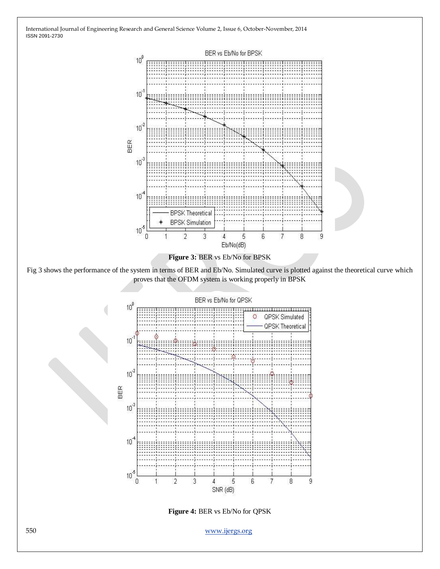

550 www.ijergs.org

5

6

 $\overline{7}$ 

 $\, 8$ 

9

**Figure 4:** BER vs Eb/No for QPSK

 $\sqrt{4}$ SNR (dB)

3

 $\overline{2}$ 

 $10<sup>°</sup>$ 

 $\theta$ 

1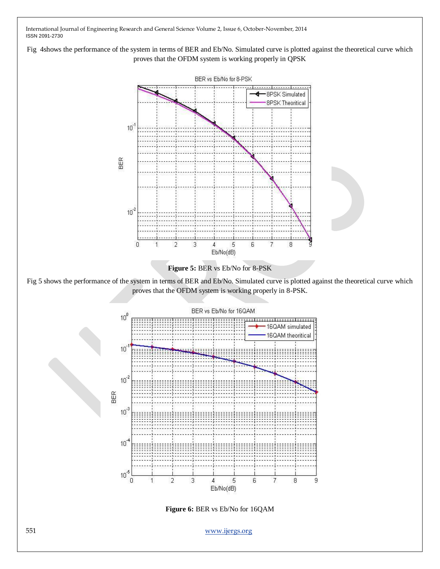Fig 4shows the performance of the system in terms of BER and Eb/No. Simulated curve is plotted against the theoretical curve which proves that the OFDM system is working properly in QPSK



Fig 5 shows the performance of the system in terms of BER and Eb/No. Simulated curve is plotted against the theoretical curve which



**Figure 6:** BER vs Eb/No for 16QAM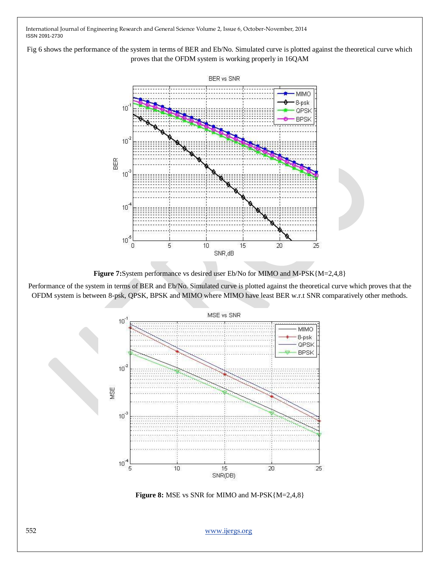Fig 6 shows the performance of the system in terms of BER and Eb/No. Simulated curve is plotted against the theoretical curve which proves that the OFDM system is working properly in 16QAM



Figure 7:System performance vs desired user Eb/No for MIMO and M-PSK{M=2,4,8}

Performance of the system in terms of BER and Eb/No. Simulated curve is plotted against the theoretical curve which proves that the OFDM system is between 8-psk, QPSK, BPSK and MIMO where MIMO have least BER w.r.t SNR comparatively other methods.



**Figure 8:** MSE vs SNR for MIMO and M-PSK{M=2,4,8}